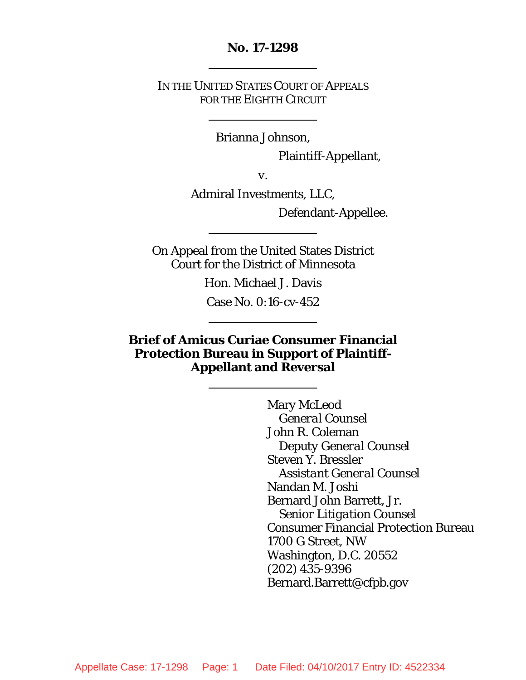### **No. 17-1298**

IN THE UNITED STATES COURT OF APPEALS FOR THE EIGHTH CIRCUIT

Brianna Johnson,

Plaintiff-Appellant,

*v*.

Admiral Investments, LLC,

Defendant-Appellee.

On Appeal from the United States District Court for the District of Minnesota

Hon. Michael J. Davis

Case No. 0:16-cv-452

**Brief of Amicus Curiae Consumer Financial Protection Bureau in Support of Plaintiff-Appellant and Reversal**

> Mary McLeod *General Counsel* John R. Coleman *Deputy General Counsel* Steven Y. Bressler *Assistant General Counsel* Nandan M. Joshi Bernard John Barrett, Jr. *Senior Litigation Counsel* Consumer Financial Protection Bureau 1700 G Street, NW Washington, D.C. 20552 (202) 435-9396 Bernard.Barrett@cfpb.gov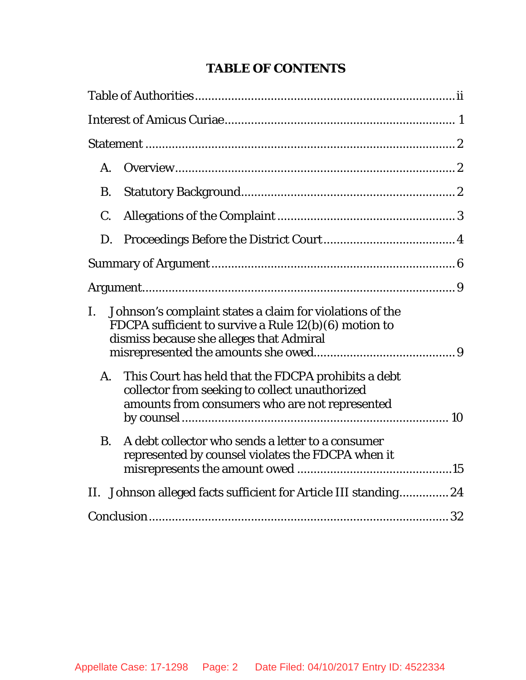# <span id="page-1-0"></span>**TABLE OF CONTENTS**

|                                                                                                                                                                     | A.          |                                                                                                                                                         |  |  |  |
|---------------------------------------------------------------------------------------------------------------------------------------------------------------------|-------------|---------------------------------------------------------------------------------------------------------------------------------------------------------|--|--|--|
|                                                                                                                                                                     | Β.          |                                                                                                                                                         |  |  |  |
|                                                                                                                                                                     | $C_{\cdot}$ |                                                                                                                                                         |  |  |  |
|                                                                                                                                                                     | D.          |                                                                                                                                                         |  |  |  |
|                                                                                                                                                                     |             |                                                                                                                                                         |  |  |  |
|                                                                                                                                                                     |             |                                                                                                                                                         |  |  |  |
| Johnson's complaint states a claim for violations of the<br>I.<br>FDCPA sufficient to survive a Rule 12(b)(6) motion to<br>dismiss because she alleges that Admiral |             |                                                                                                                                                         |  |  |  |
|                                                                                                                                                                     | A.          | This Court has held that the FDCPA prohibits a debt<br>collector from seeking to collect unauthorized<br>amounts from consumers who are not represented |  |  |  |
|                                                                                                                                                                     | <b>B.</b>   | A debt collector who sends a letter to a consumer<br>represented by counsel violates the FDCPA when it                                                  |  |  |  |
|                                                                                                                                                                     |             | II. Johnson alleged facts sufficient for Article III standing 24                                                                                        |  |  |  |
|                                                                                                                                                                     |             |                                                                                                                                                         |  |  |  |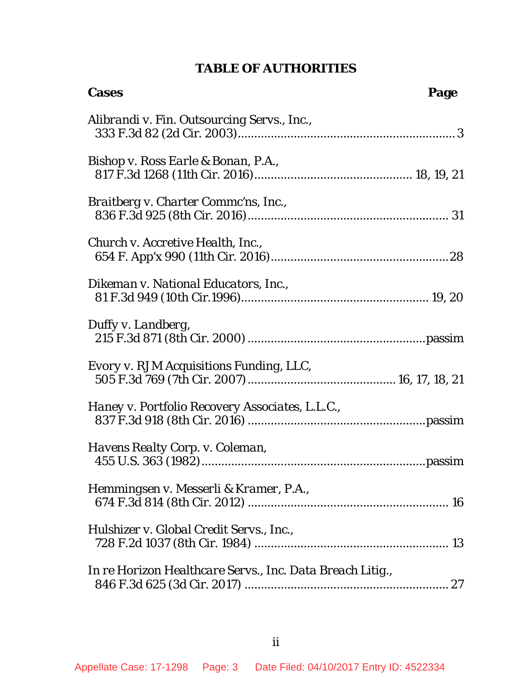# **TABLE OF AUTHORITIES**

| <b>Cases</b>                                              | Page |
|-----------------------------------------------------------|------|
| Alibrandi v. Fin. Outsourcing Servs., Inc.,               |      |
| Bishop v. Ross Earle & Bonan, P.A.,                       |      |
| Braitberg v. Charter Commc'ns, Inc.,                      |      |
| Church v. Accretive Health, Inc.,                         |      |
| Dikeman v. National Educators, Inc.,                      |      |
| Duffy v. Landberg,                                        |      |
| Evory v. RJM Acquisitions Funding, LLC,                   |      |
| Haney v. Portfolio Recovery Associates, L.L.C.,           |      |
| Havens Realty Corp. v. Coleman,                           |      |
| Hemmingsen v. Messerli & Kramer, P.A.,                    |      |
| Hulshizer v. Global Credit Servs., Inc.,                  |      |
| In re Horizon Healthcare Servs., Inc. Data Breach Litig., |      |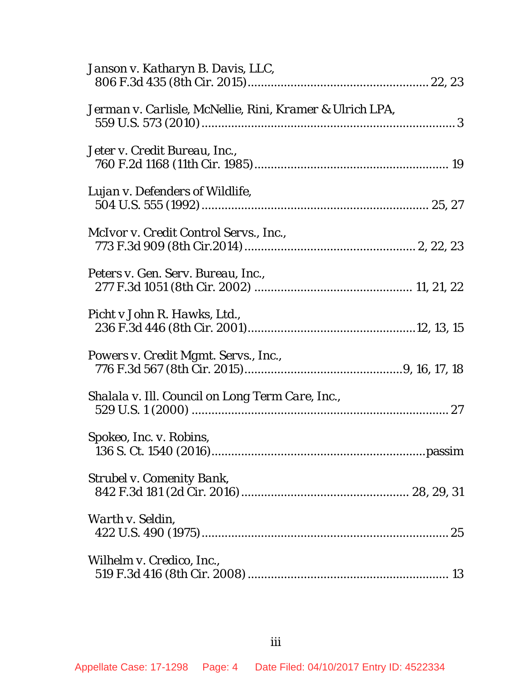| Janson v. Katharyn B. Davis, LLC,                        |  |
|----------------------------------------------------------|--|
| Jerman v. Carlisle, McNellie, Rini, Kramer & Ulrich LPA, |  |
| Jeter v. Credit Bureau, Inc.,                            |  |
| Lujan v. Defenders of Wildlife,                          |  |
| McIvor v. Credit Control Servs., Inc.,                   |  |
| Peters v. Gen. Serv. Bureau, Inc.,                       |  |
| Picht v John R. Hawks, Ltd.,                             |  |
| Powers v. Credit Mgmt. Servs., Inc.,                     |  |
| Shalala v. Ill. Council on Long Term Care, Inc.,         |  |
| Spokeo, Inc. v. Robins,                                  |  |
| <b>Strubel v. Comenity Bank,</b>                         |  |
| Warth v. Seldin,                                         |  |
| Wilhelm v. Credico, Inc.,                                |  |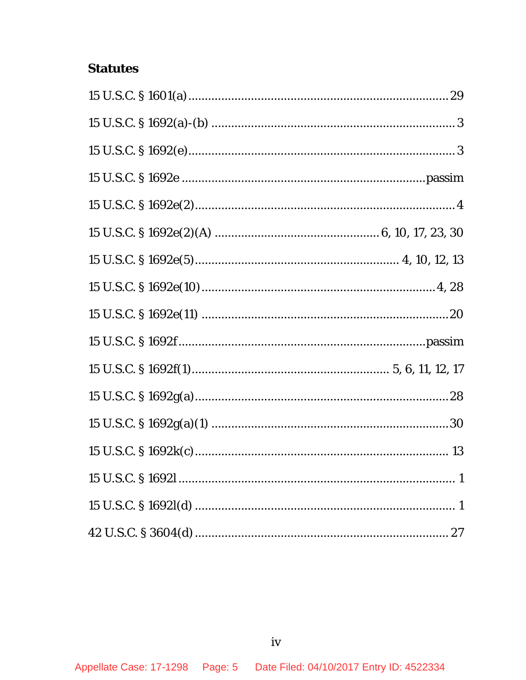# **Statutes**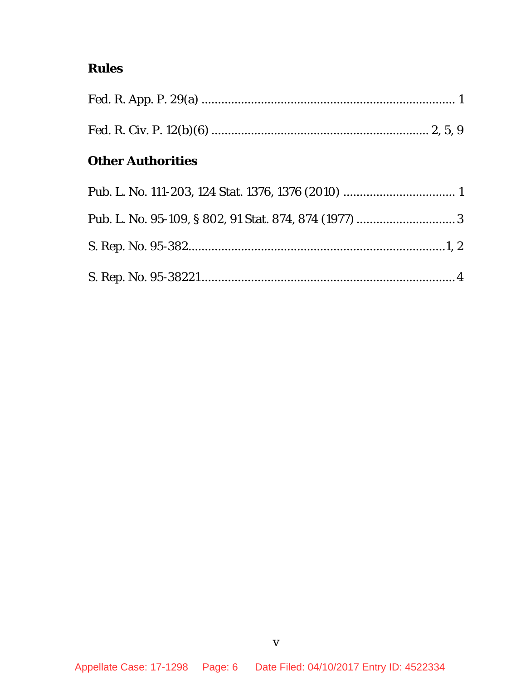# **Rules**

# **Other Authorities**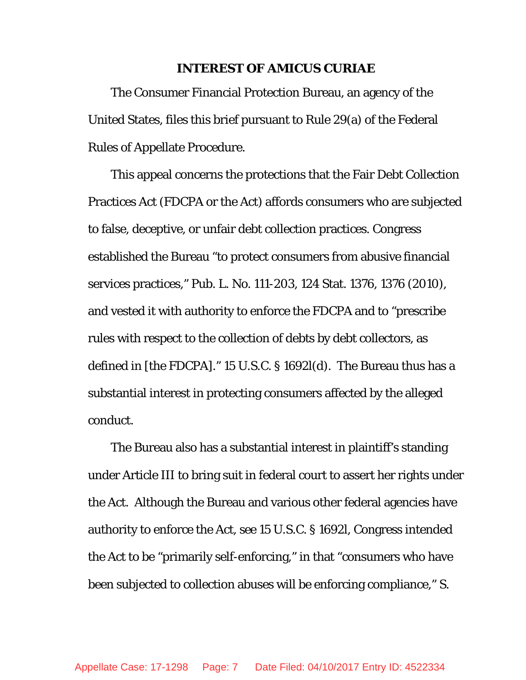### **INTEREST OF AMICUS CURIAE**

<span id="page-6-0"></span>The Consumer Financial Protection Bureau, an agency of the United States, files this brief pursuant to Rule 29(a) of the Federal Rules of Appellate Procedure.

This appeal concerns the protections that the Fair Debt Collection Practices Act (FDCPA or the Act) affords consumers who are subjected to false, deceptive, or unfair debt collection practices. Congress established the Bureau "to protect consumers from abusive financial services practices," Pub. L. No. 111-203, 124 Stat. 1376, 1376 (2010), and vested it with authority to enforce the FDCPA and to "prescribe rules with respect to the collection of debts by debt collectors, as defined in [the FDCPA]." 15 U.S.C. § 1692*l*(d). The Bureau thus has a substantial interest in protecting consumers affected by the alleged conduct.

The Bureau also has a substantial interest in plaintiff's standing under Article III to bring suit in federal court to assert her rights under the Act. Although the Bureau and various other federal agencies have authority to enforce the Act, *see* 15 U.S.C. § 1692*l*, Congress intended the Act to be "primarily self-enforcing," in that "consumers who have been subjected to collection abuses will be enforcing compliance," S.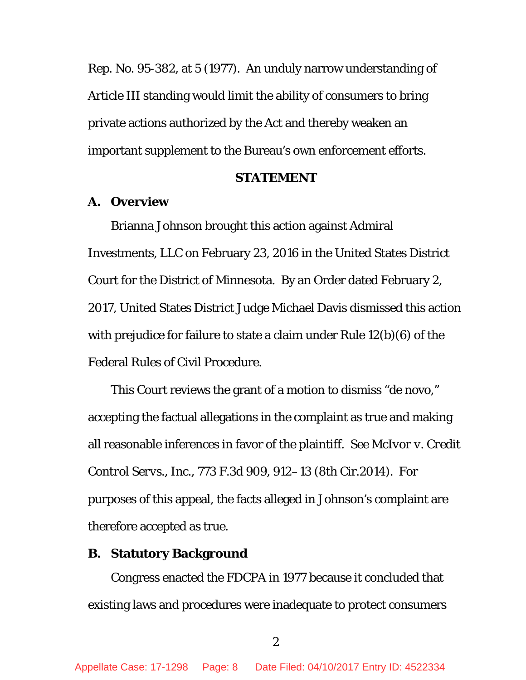Rep. No. 95-382, at 5 (1977). An unduly narrow understanding of Article III standing would limit the ability of consumers to bring private actions authorized by the Act and thereby weaken an important supplement to the Bureau's own enforcement efforts.

### **STATEMENT**

## <span id="page-7-1"></span><span id="page-7-0"></span>**A. Overview**

Brianna Johnson brought this action against Admiral Investments, LLC on February 23, 2016 in the United States District Court for the District of Minnesota. By an Order dated February 2, 2017, United States District Judge Michael Davis dismissed this action with prejudice for failure to state a claim under Rule 12(b)(6) of the Federal Rules of Civil Procedure.

This Court reviews the grant of a motion to dismiss "de novo," accepting the factual allegations in the complaint as true and making all reasonable inferences in favor of the plaintiff. *See [McIvor v. Credit](http://www.westlaw.com/Link/Document/FullText?findType=Y&serNum=2034917954&pubNum=0000506&originatingDoc=Ifa2d50358d5811e5b4bafa136b480ad2&refType=RP&fi=co_pp_sp_506_912&originationContext=document&vr=3.0&rs=cblt1.0&transitionType=DocumentItem&contextData=(sc.Keycite)#co_pp_sp_506_912)  Control Servs., Inc.,* [773 F.3d 909, 912–13 \(8th Cir.2014\).](http://www.westlaw.com/Link/Document/FullText?findType=Y&serNum=2034917954&pubNum=0000506&originatingDoc=Ifa2d50358d5811e5b4bafa136b480ad2&refType=RP&fi=co_pp_sp_506_912&originationContext=document&vr=3.0&rs=cblt1.0&transitionType=DocumentItem&contextData=(sc.Keycite)#co_pp_sp_506_912) For purposes of this appeal, the facts alleged in Johnson's complaint are therefore accepted as true.

### <span id="page-7-2"></span>**B. Statutory Background**

Congress enacted the FDCPA in 1977 because it concluded that existing laws and procedures were inadequate to protect consumers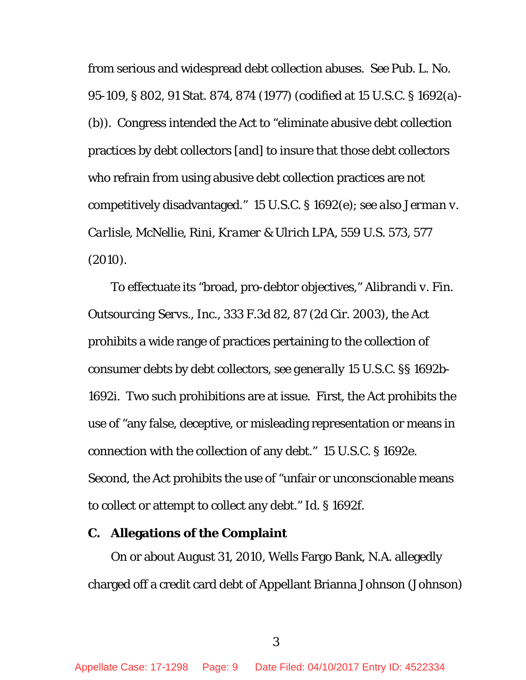from serious and widespread debt collection abuses. *See* Pub. L. No. 95-109, § 802, 91 Stat. 874, 874 (1977) (codified at 15 U.S.C. § 1692(a)- (b)). Congress intended the Act to "eliminate abusive debt collection practices by debt collectors [and] to insure that those debt collectors who refrain from using abusive debt collection practices are not competitively disadvantaged." 15 U.S.C. § 1692(e); *see also Jerman v. Carlisle, McNellie, Rini, Kramer & Ulrich LPA*, 559 U.S. 573, 577 (2010).

To effectuate its "broad, pro-debtor objectives," *Alibrandi v. Fin. Outsourcing Servs., Inc.*, 333 F.3d 82, 87 (2d Cir. 2003), the Act prohibits a wide range of practices pertaining to the collection of consumer debts by debt collectors, *see generally* 15 U.S.C. §§ 1692b-1692i. Two such prohibitions are at issue. First, the Act prohibits the use of "any false, deceptive, or misleading representation or means in connection with the collection of any debt." 15 U.S.C. § 1692e. Second, the Act prohibits the use of "unfair or unconscionable means to collect or attempt to collect any debt." *Id.* § 1692f.

### <span id="page-8-0"></span>**C. Allegations of the Complaint**

On or about August 31, 2010, Wells Fargo Bank, N.A. allegedly charged off a credit card debt of Appellant Brianna Johnson (Johnson)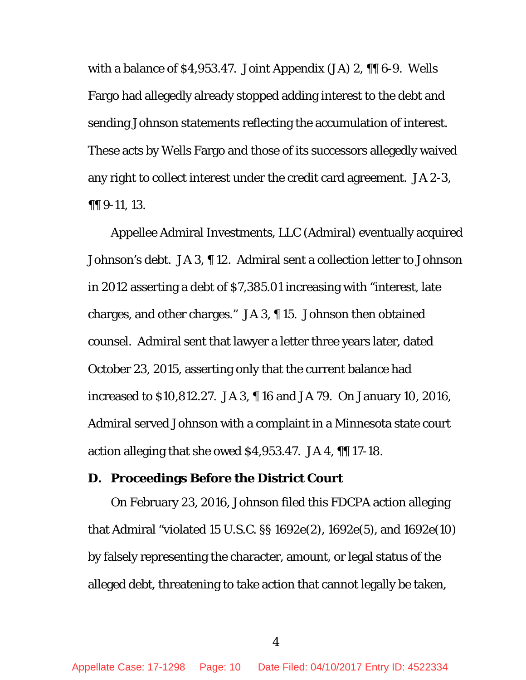with a balance of \$4,953.47. Joint Appendix (JA) 2, ¶¶ 6-9. Wells Fargo had allegedly already stopped adding interest to the debt and sending Johnson statements reflecting the accumulation of interest. These acts by Wells Fargo and those of its successors allegedly waived any right to collect interest under the credit card agreement. JA 2-3, ¶¶ 9-11, 13.

Appellee Admiral Investments, LLC (Admiral) eventually acquired Johnson's debt. JA 3, ¶ 12. Admiral sent a collection letter to Johnson in 2012 asserting a debt of \$7,385.01 increasing with "interest, late charges, and other charges." JA 3, ¶ 15. Johnson then obtained counsel. Admiral sent that lawyer a letter three years later, dated October 23, 2015, asserting only that the current balance had increased to \$10,812.27. JA 3, ¶ 16 and JA 79. On January 10, 2016, Admiral served Johnson with a complaint in a Minnesota state court action alleging that she owed \$4,953.47. JA 4, ¶¶ 17-18.

## <span id="page-9-0"></span>**D. Proceedings Before the District Court**

On February 23, 2016, Johnson filed this FDCPA action alleging that Admiral "violated 15 U.S.C. §§ 1692e(2), 1692e(5), and 1692e(10) by falsely representing the character, amount, or legal status of the alleged debt, threatening to take action that cannot legally be taken,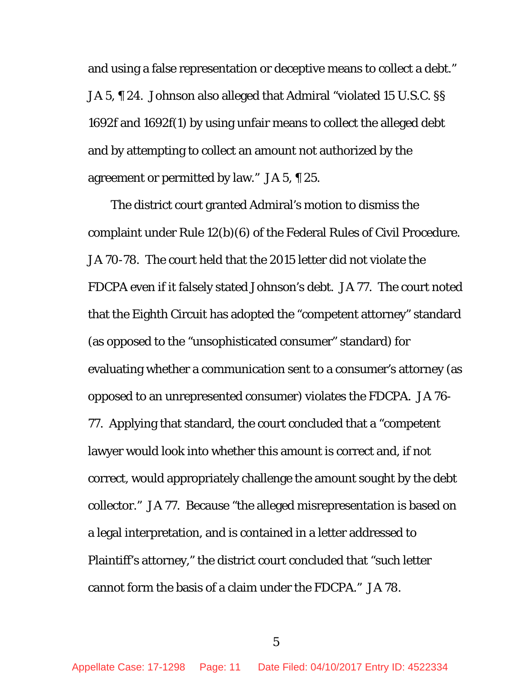and using a false representation or deceptive means to collect a debt." JA 5, ¶ 24. Johnson also alleged that Admiral "violated 15 U.S.C. §§ 1692f and 1692f(1) by using unfair means to collect the alleged debt and by attempting to collect an amount not authorized by the agreement or permitted by law." JA 5, ¶ 25.

The district court granted Admiral's motion to dismiss the complaint under Rule 12(b)(6) of the Federal Rules of Civil Procedure. JA 70-78. The court held that the 2015 letter did not violate the FDCPA even if it falsely stated Johnson's debt. JA 77. The court noted that the Eighth Circuit has adopted the "competent attorney" standard (as opposed to the "unsophisticated consumer" standard) for evaluating whether a communication sent to a consumer's attorney (as opposed to an unrepresented consumer) violates the FDCPA. JA 76- 77. Applying that standard, the court concluded that a "competent lawyer would look into whether this amount is correct and, if not correct, would appropriately challenge the amount sought by the debt collector." JA 77. Because "the alleged misrepresentation is based on a legal interpretation, and is contained in a letter addressed to Plaintiff's attorney," the district court concluded that "such letter cannot form the basis of a claim under the FDCPA." JA 78.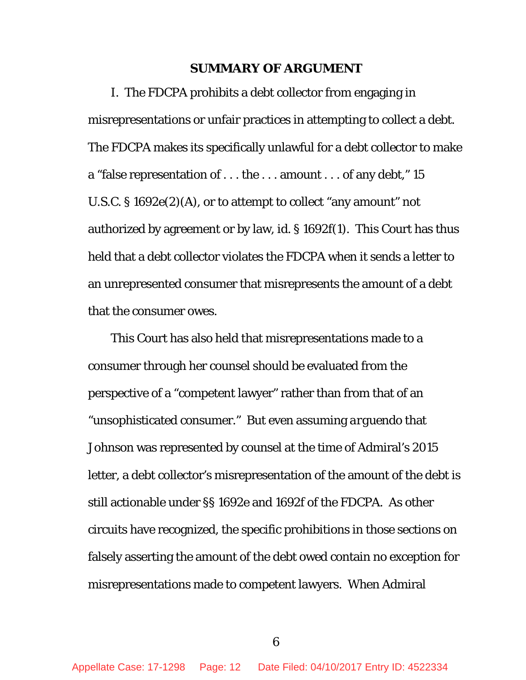### **SUMMARY OF ARGUMENT**

<span id="page-11-0"></span>I. The FDCPA prohibits a debt collector from engaging in misrepresentations or unfair practices in attempting to collect a debt. The FDCPA makes its specifically unlawful for a debt collector to make a "false representation of . . . the . . . amount . . . of any debt," 15 U.S.C. § 1692e(2)(A), or to attempt to collect "any amount" not authorized by agreement or by law, *id.* § 1692f(1). This Court has thus held that a debt collector violates the FDCPA when it sends a letter to an unrepresented consumer that misrepresents the amount of a debt that the consumer owes.

This Court has also held that misrepresentations made to a consumer through her counsel should be evaluated from the perspective of a "competent lawyer" rather than from that of an "unsophisticated consumer." But even assuming *arguendo* that Johnson was represented by counsel at the time of Admiral's 2015 letter, a debt collector's misrepresentation of the amount of the debt is still actionable under §§ 1692e and 1692f of the FDCPA. As other circuits have recognized, the specific prohibitions in those sections on falsely asserting the amount of the debt owed contain no exception for misrepresentations made to competent lawyers. When Admiral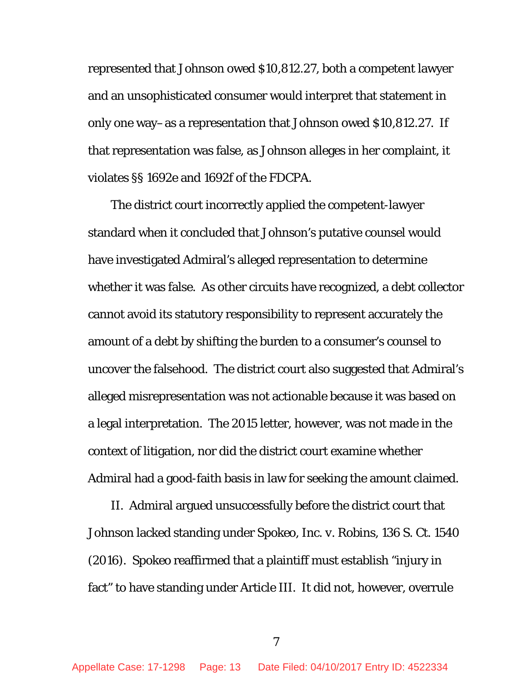represented that Johnson owed \$10,812.27, both a competent lawyer and an unsophisticated consumer would interpret that statement in only one way–as a representation that Johnson owed \$10,812.27. If that representation was false, as Johnson alleges in her complaint, it violates §§ 1692e and 1692f of the FDCPA.

The district court incorrectly applied the competent-lawyer standard when it concluded that Johnson's putative counsel would have investigated Admiral's alleged representation to determine whether it was false. As other circuits have recognized, a debt collector cannot avoid its statutory responsibility to represent accurately the amount of a debt by shifting the burden to a consumer's counsel to uncover the falsehood. The district court also suggested that Admiral's alleged misrepresentation was not actionable because it was based on a legal interpretation. The 2015 letter, however, was not made in the context of litigation, nor did the district court examine whether Admiral had a good-faith basis in law for seeking the amount claimed.

II. Admiral argued unsuccessfully before the district court that Johnson lacked standing under *Spokeo, Inc. v. Robins*, 136 S. Ct. 1540 (2016). *Spokeo* reaffirmed that a plaintiff must establish "injury in fact" to have standing under Article III. It did not, however, overrule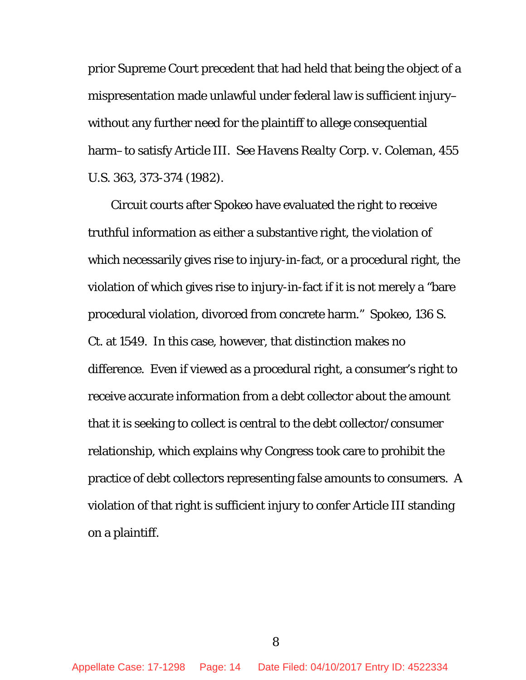prior Supreme Court precedent that had held that being the object of a mispresentation made unlawful under federal law is sufficient injury– without any further need for the plaintiff to allege consequential harm–to satisfy Article III. *See Havens Realty Corp. v. Coleman*, 455 U.S. 363, 373-374 (1982).

Circuit courts after *Spokeo* have evaluated the right to receive truthful information as either a substantive right, the violation of which necessarily gives rise to injury-in-fact, or a procedural right, the violation of which gives rise to injury-in-fact if it is not merely a "bare procedural violation, divorced from concrete harm." *Spokeo*, 136 S. Ct. at 1549. In this case, however, that distinction makes no difference. Even if viewed as a procedural right, a consumer's right to receive accurate information from a debt collector about the amount that it is seeking to collect is central to the debt collector/consumer relationship, which explains why Congress took care to prohibit the practice of debt collectors representing false amounts to consumers. A violation of that right is sufficient injury to confer Article III standing on a plaintiff.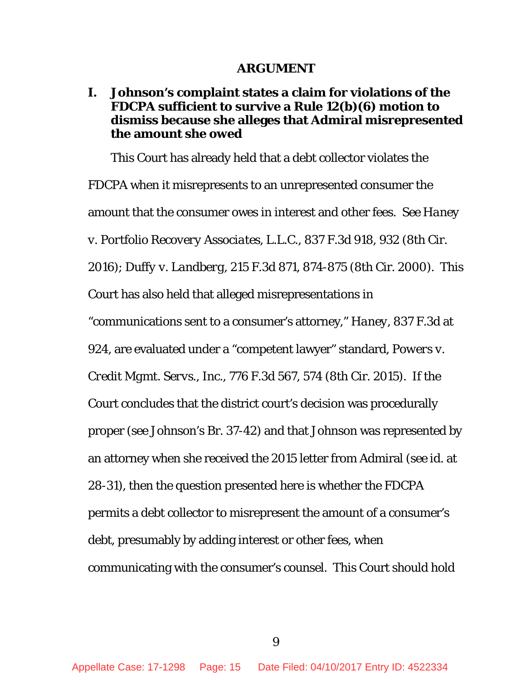#### **ARGUMENT**

## <span id="page-14-1"></span><span id="page-14-0"></span>**I. Johnson's complaint states a claim for violations of the FDCPA sufficient to survive a Rule 12(b)(6) motion to dismiss because she alleges that Admiral misrepresented the amount she owed**

This Court has already held that a debt collector violates the FDCPA when it misrepresents to an unrepresented consumer the amount that the consumer owes in interest and other fees. *See Haney v. Portfolio Recovery Associates, L.L.C.*, 837 F.3d 918, 932 (8th Cir. 2016); *Duffy v. Landberg*, 215 F.3d 871, 874-875 (8th Cir. 2000). This Court has also held that alleged misrepresentations in

"communications sent to a consumer's attorney," *Haney*, 837 F.3d at

924, are evaluated under a "competent lawyer" standard, *Powers v.* 

*Credit Mgmt. Servs., Inc.*, 776 F.3d 567, 574 (8th Cir. 2015). If the

Court concludes that the district court's decision was procedurally

proper (*see* Johnson's Br. 37-42) and that Johnson was represented by

an attorney when she received the 2015 letter from Admiral (*see id.* at

28-31), then the question presented here is whether the FDCPA

permits a debt collector to misrepresent the amount of a consumer's

debt, presumably by adding interest or other fees, when

communicating with the consumer's counsel. This Court should hold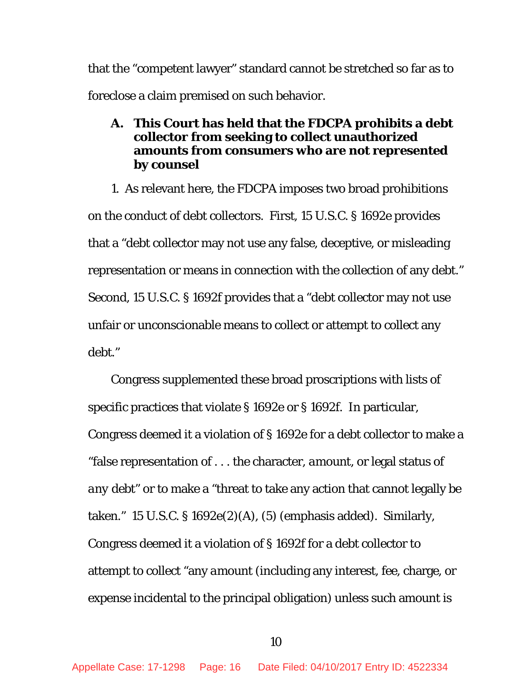that the "competent lawyer" standard cannot be stretched so far as to foreclose a claim premised on such behavior.

## <span id="page-15-0"></span>**A. This Court has held that the FDCPA prohibits a debt collector from seeking to collect unauthorized amounts from consumers who are not represented by counsel**

1. As relevant here, the FDCPA imposes two broad prohibitions on the conduct of debt collectors. First, 15 U.S.C. § 1692e provides that a "debt collector may not use any false, deceptive, or misleading representation or means in connection with the collection of any debt." Second, 15 U.S.C. § 1692f provides that a "debt collector may not use unfair or unconscionable means to collect or attempt to collect any debt."

Congress supplemented these broad proscriptions with lists of specific practices that violate § 1692e or § 1692f. In particular, Congress deemed it a violation of § 1692e for a debt collector to make a "false representation of . . . the character, *amount*, or legal status *of any debt*" or to make a "threat to take any action that cannot legally be taken." 15 U.S.C. § 1692e(2)(A), (5) (emphasis added). Similarly, Congress deemed it a violation of § 1692f for a debt collector to attempt to collect "any *amount* (including any interest, fee, charge, or expense incidental to the principal obligation) unless such amount is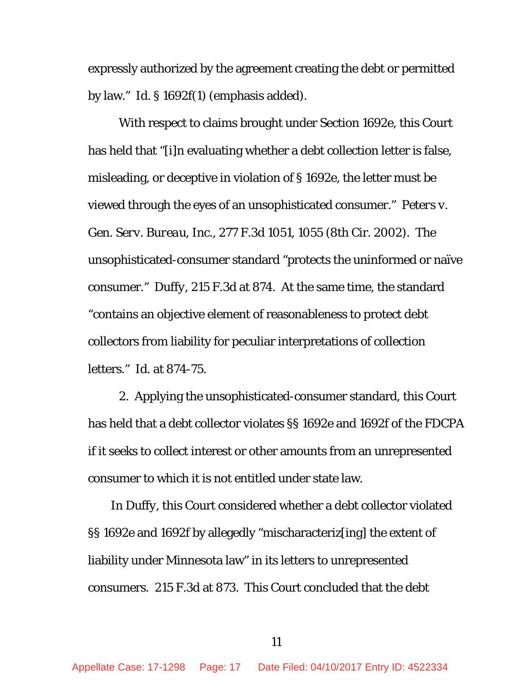expressly authorized by the agreement creating the debt or permitted by law." *Id.* § 1692f(1) (emphasis added).

With respect to claims brought under Section 1692e, this Court has held that "[i]n evaluating whether a debt collection letter is false, misleading, or deceptive in violation of § 1692e, the letter must be viewed through the eyes of an unsophisticated consumer." *[Peters v.](http://www.westlaw.com/Link/Document/FullText?findType=Y&serNum=2002089473&pubNum=0000506&originatingDoc=I32518fb0806f11e6b8b9e1ce282dafae&refType=RP&fi=co_pp_sp_506_1055&originationContext=document&vr=3.0&rs=cblt1.0&transitionType=DocumentItem&contextData=(sc.Keycite)#co_pp_sp_506_1055)  Gen. Serv. Bureau, Inc.*[, 277 F.3d 1051, 1055 \(8th Cir. 2002\).](http://www.westlaw.com/Link/Document/FullText?findType=Y&serNum=2002089473&pubNum=0000506&originatingDoc=I32518fb0806f11e6b8b9e1ce282dafae&refType=RP&fi=co_pp_sp_506_1055&originationContext=document&vr=3.0&rs=cblt1.0&transitionType=DocumentItem&contextData=(sc.Keycite)#co_pp_sp_506_1055) The unsophisticated-consumer standard "protects the uninformed or naïve consumer." *Duffy*, 215 F.3d at 874. At the same time, the standard "contains an objective element of reasonableness to protect debt collectors from liability for peculiar interpretations of collection letters." *Id.* at 874-75.

2. Applying the unsophisticated-consumer standard, this Court has held that a debt collector violates §§ 1692e and 1692f of the FDCPA if it seeks to collect interest or other amounts from an unrepresented consumer to which it is not entitled under state law.

In *Duffy*, this Court considered whether a debt collector violated §§ 1692e and 1692f by allegedly "mischaracteriz[ing] the extent of liability under Minnesota law" in its letters to unrepresented consumers. 215 F.3d at 873. This Court concluded that the debt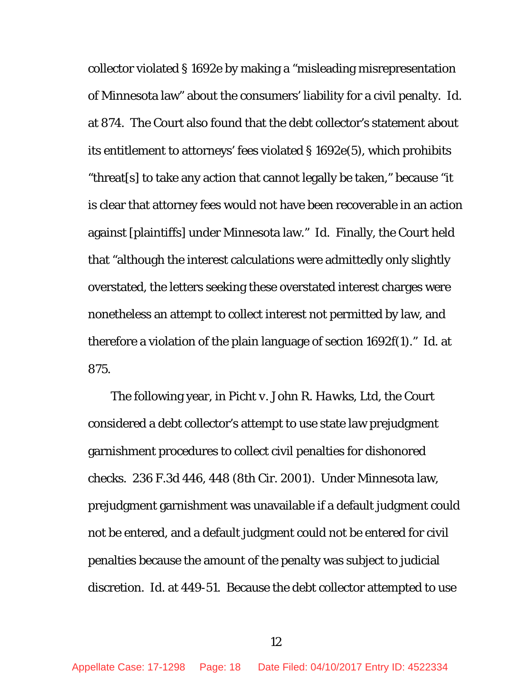collector violated § 1692e by making a "misleading misrepresentation of Minnesota law" about the consumers' liability for a civil penalty. *Id.* at 874. The Court also found that the debt collector's statement about its entitlement to attorneys' fees violated § 1692e(5), which prohibits "threat[s] to take any action that cannot legally be taken," because "it is clear that attorney fees would not have been recoverable in an action against [plaintiffs] under Minnesota law." *Id.* Finally, the Court held that "although the interest calculations were admittedly only slightly overstated, the letters seeking these overstated interest charges were nonetheless an attempt to collect interest not permitted by law, and therefore a violation of the plain language of section 1692f(1)." *Id.* at 875.

The following year, in *Picht v. John R. Hawks, Ltd*, the Court considered a debt collector's attempt to use state law prejudgment garnishment procedures to collect civil penalties for dishonored checks. 236 F.3d 446, 448 (8th Cir. 2001). Under Minnesota law, prejudgment garnishment was unavailable if a default judgment could not be entered, and a default judgment could not be entered for civil penalties because the amount of the penalty was subject to judicial discretion. *Id.* at 449-51. Because the debt collector attempted to use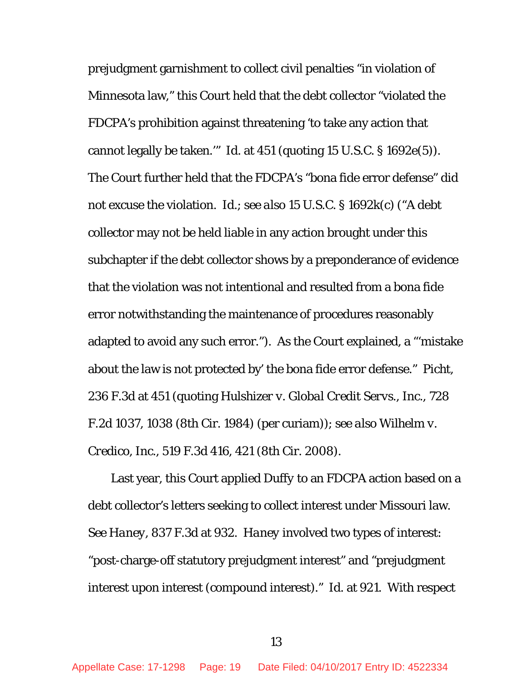prejudgment garnishment to collect civil penalties "in violation of Minnesota law," this Court held that the debt collector "violated the FDCPA's prohibition against threatening 'to take any action that cannot legally be taken.'" *Id.* at 451 (quoting 15 U.S.C. § 1692e(5)). The Court further held that the FDCPA's "bona fide error defense" did not excuse the violation. *Id*.; *see also* 15 U.S.C. § 1692k(c) ("A debt collector may not be held liable in any action brought under this subchapter if the debt collector shows by a preponderance of evidence that the violation was not intentional and resulted from a bona fide error notwithstanding the maintenance of procedures reasonably adapted to avoid any such error."). As the Court explained, a "'mistake about the law is not protected by' the bona fide error defense." *Picht*, 236 F.3d at 451 (quoting *Hulshizer v. Global Credit Servs., Inc.*, 728 F.2d 1037, 1038 (8th Cir. 1984) (per curiam)); *see also Wilhelm v. Credico, Inc.*, 519 F.3d 416, 421 (8th Cir. 2008).

Last year, this Court applied *Duffy* to an FDCPA action based on a debt collector's letters seeking to collect interest under Missouri law. *See Haney*, 837 F.3d at 932. *Haney* involved two types of interest: "post-charge-off statutory prejudgment interest" and "prejudgment interest upon interest (compound interest)." *Id.* at 921. With respect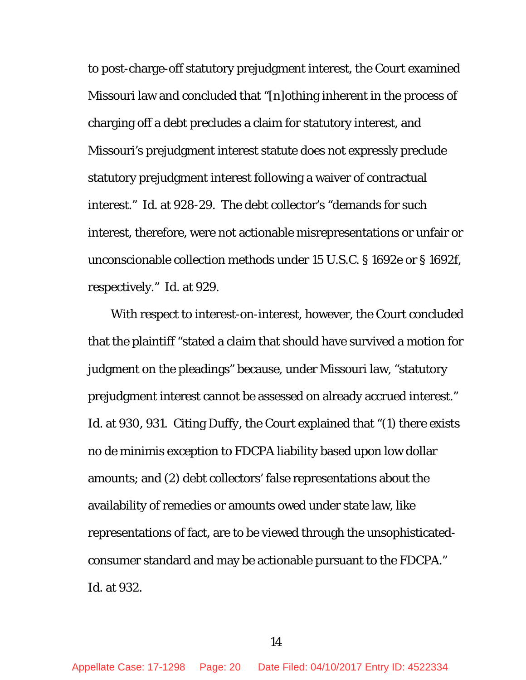to post-charge-off statutory prejudgment interest, the Court examined Missouri law and concluded that "[n]othing inherent in the process of charging off a debt precludes a claim for statutory interest, and Missouri's prejudgment interest statute does not expressly preclude statutory prejudgment interest following a waiver of contractual interest." *Id.* at 928-29. The debt collector's "demands for such interest, therefore, were not actionable misrepresentations or unfair or unconscionable collection methods under 15 U.S.C. § 1692e or § 1692f, respectively." *Id.* at 929.

With respect to interest-on-interest, however, the Court concluded that the plaintiff "stated a claim that should have survived a motion for judgment on the pleadings" because, under Missouri law, "statutory prejudgment interest cannot be assessed on already accrued interest." *Id.* at 930, 931. Citing *Duffy*, the Court explained that "(1) there exists no *de minimis* exception to FDCPA liability based upon low dollar amounts; and (2) debt collectors' false representations about the availability of remedies or amounts owed under state law, like representations of fact, are to be viewed through the unsophisticatedconsumer standard and may be actionable pursuant to the FDCPA." *Id.* at 932.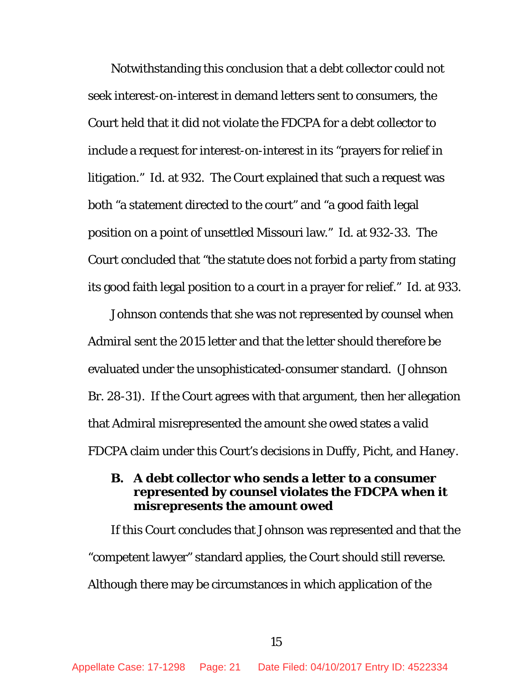Notwithstanding this conclusion that a debt collector could not seek interest-on-interest in demand letters sent to consumers, the Court held that it did not violate the FDCPA for a debt collector to include a request for interest-on-interest in its "prayers for relief in litigation." *Id.* at 932. The Court explained that such a request was both "a statement directed to the court" and "a good faith legal position on a point of unsettled Missouri law." *Id.* at 932-33. The Court concluded that "the statute does not forbid a party from stating its good faith legal position to a court in a prayer for relief." *Id*. at 933.

Johnson contends that she was not represented by counsel when Admiral sent the 2015 letter and that the letter should therefore be evaluated under the unsophisticated-consumer standard. (Johnson Br. 28-31). If the Court agrees with that argument, then her allegation that Admiral misrepresented the amount she owed states a valid FDCPA claim under this Court's decisions in *Duffy*, *Picht*, and *Haney*.

## <span id="page-20-0"></span>**B. A debt collector who sends a letter to a consumer represented by counsel violates the FDCPA when it misrepresents the amount owed**

If this Court concludes that Johnson was represented and that the "competent lawyer" standard applies, the Court should still reverse. Although there may be circumstances in which application of the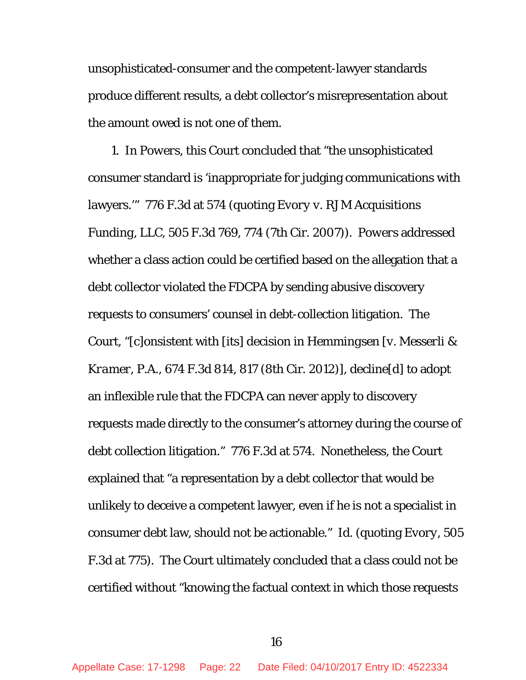unsophisticated-consumer and the competent-lawyer standards produce different results, a debt collector's misrepresentation about the amount owed is not one of them.

1. In *Powers*, this Court concluded that "the unsophisticated consumer standard is 'inappropriate for judging communications with lawyers.'" 776 F.3d at 574 (quoting *Evory v. RJM Acquisitions Funding, LLC*, 505 F.3d 769, 774 (7th Cir. 2007)). *Powers* addressed whether a class action could be certified based on the allegation that a debt collector violated the FDCPA by sending abusive discovery requests to consumers' counsel in debt-collection litigation. The Court, "[c]onsistent with [its] decision in *Hemmingsen [v. Messerli & Kramer, P.A.*, 674 F.3d 814, 817 (8th Cir. 2012)]*,* decline[d] to adopt an inflexible rule that the FDCPA can never apply to discovery requests made directly to the consumer's attorney during the course of debt collection litigation." 776 F.3d at 574. Nonetheless, the Court explained that "a representation by a debt collector that would be unlikely to deceive a competent lawyer, even if he is not a specialist in consumer debt law, should not be actionable." *Id.* (quoting *[Evory,](http://www.westlaw.com/Link/Document/FullText?findType=Y&serNum=2013803656&pubNum=0000506&originatingDoc=I2a7fb9209bfa11e4b4bafa136b480ad2&refType=RP&fi=co_pp_sp_506_775&originationContext=document&vr=3.0&rs=cblt1.0&transitionType=DocumentItem&contextData=(sc.UserEnteredCitation)#co_pp_sp_506_775)* 505 [F.3d at 775\)](http://www.westlaw.com/Link/Document/FullText?findType=Y&serNum=2013803656&pubNum=0000506&originatingDoc=I2a7fb9209bfa11e4b4bafa136b480ad2&refType=RP&fi=co_pp_sp_506_775&originationContext=document&vr=3.0&rs=cblt1.0&transitionType=DocumentItem&contextData=(sc.UserEnteredCitation)#co_pp_sp_506_775). The Court ultimately concluded that a class could not be certified without "knowing the factual context in which those requests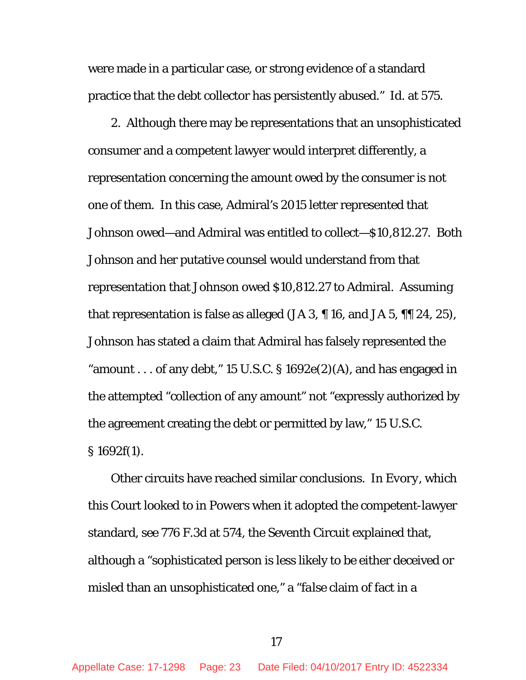were made in a particular case, or strong evidence of a standard practice that the debt collector has persistently abused." *Id.* at 575.

2. Although there may be representations that an unsophisticated consumer and a competent lawyer would interpret differently, a representation concerning the amount owed by the consumer is not one of them. In this case, Admiral's 2015 letter represented that Johnson owed—and Admiral was entitled to collect—\$10,812.27. Both Johnson and her putative counsel would understand from that representation that Johnson owed \$10,812.27 to Admiral. Assuming that representation is false as alleged (JA 3, ¶ 16, and JA 5, ¶¶ 24, 25), Johnson has stated a claim that Admiral has falsely represented the "amount . . . of any debt," 15 U.S.C.  $\S 1692e(2)$ (A), and has engaged in the attempted "collection of any amount" not "expressly authorized by the agreement creating the debt or permitted by law," 15 U.S.C. § 1692f(1).

Other circuits have reached similar conclusions. In *Evory*, which this Court looked to in *Powers* when it adopted the competent-lawyer standard, *see* 776 F.3d at 574, the Seventh Circuit explained that, although a "sophisticated person is less likely to be either deceived or misled than an unsophisticated one," a "*false* claim of fact in a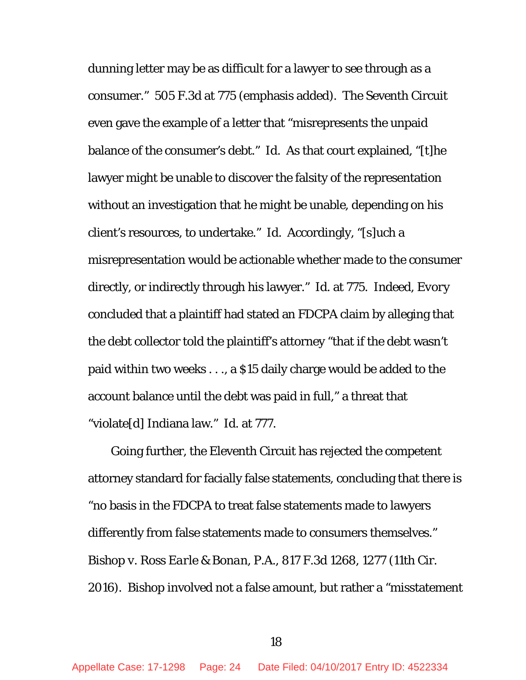dunning letter may be as difficult for a lawyer to see through as a consumer." 505 F.3d at 775 (emphasis added). The Seventh Circuit even gave the example of a letter that "misrepresents the unpaid balance of the consumer's debt." *Id.* As that court explained, "[t]he lawyer might be unable to discover the falsity of the representation without an investigation that he might be unable, depending on his client's resources, to undertake." *Id.* Accordingly, "[s]uch a misrepresentation would be actionable whether made to the consumer directly, or indirectly through his lawyer." *Id*. at 775. Indeed, *Evory* concluded that a plaintiff had stated an FDCPA claim by alleging that the debt collector told the plaintiff's attorney "that if the debt wasn't paid within two weeks . . ., a \$15 daily charge would be added to the account balance until the debt was paid in full," a threat that "violate[d] Indiana law." *Id.* at 777.

Going further, the Eleventh Circuit has rejected the competent attorney standard for facially false statements, concluding that there is "no basis in the FDCPA to treat false statements made to lawyers differently from false statements made to consumers themselves." *Bishop v. Ross Earle & Bonan, P.A.*, 817 F.3d 1268, 1277 (11th Cir. 2016). *Bishop* involved not a false amount, but rather a "misstatement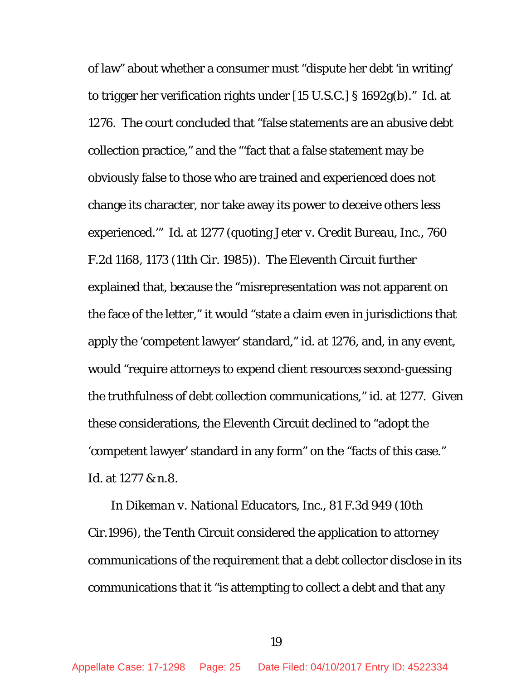of law" about whether a consumer must "dispute her debt 'in writing' to trigger her verification rights under [15 U.S.C.] § 1692g(b)." *Id*. at 1276. The court concluded that "false statements are an abusive debt collection practice," and the "'fact that a false statement may be obviously false to those who are trained and experienced does not change its character, nor take away its power to deceive others less experienced.'" *Id.* at 1277 (quoting *Jeter v. Credit Bureau, Inc.*, 760 F.2d 1168, 1173 (11th Cir. 1985)). The Eleventh Circuit further explained that, because the "misrepresentation was not apparent on the face of the letter," it would "state a claim even in jurisdictions that apply the 'competent lawyer' standard," *id.* at 1276, and, in any event, would "require attorneys to expend client resources second-guessing the truthfulness of debt collection communications," *id.* at 1277. Given these considerations, the Eleventh Circuit declined to "adopt the 'competent lawyer' standard in any form" on the "facts of this case." *Id*. at 1277 & n.8.

In *[Dikeman v. National](http://www.westlaw.com/Link/Document/FullText?findType=Y&serNum=1996092888&pubNum=0000506&originatingDoc=I2a7fb9209bfa11e4b4bafa136b480ad2&refType=RP&fi=co_pp_sp_506_953&originationContext=document&vr=3.0&rs=cblt1.0&transitionType=DocumentItem&contextData=(sc.UserEnteredCitation)#co_pp_sp_506_953) Educators, Inc.,* 81 F.3d 949 (10th [Cir.1996\),](http://www.westlaw.com/Link/Document/FullText?findType=Y&serNum=1996092888&pubNum=0000506&originatingDoc=I2a7fb9209bfa11e4b4bafa136b480ad2&refType=RP&fi=co_pp_sp_506_953&originationContext=document&vr=3.0&rs=cblt1.0&transitionType=DocumentItem&contextData=(sc.UserEnteredCitation)#co_pp_sp_506_953) the Tenth Circuit considered the application to attorney communications of the requirement that a debt collector disclose in its communications that it "is attempting to collect a debt and that any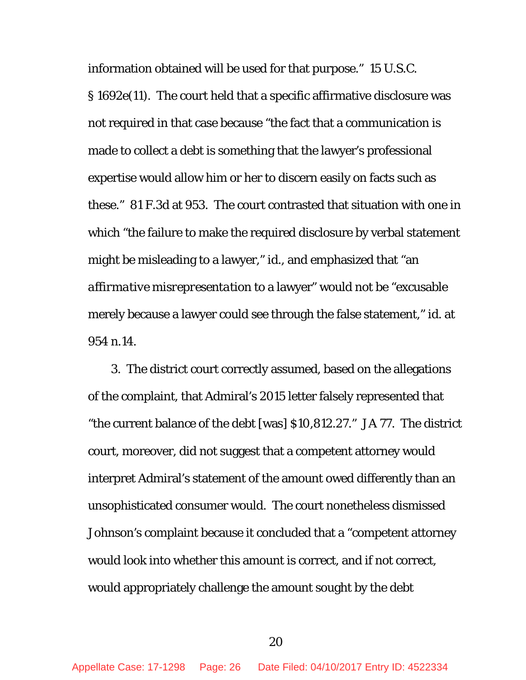information obtained will be used for that purpose." 15 U.S.C. § 1692e(11). The court held that a specific affirmative disclosure was not required in that case because "the fact that a communication is made to collect a debt is something that the lawyer's professional expertise would allow him or her to discern easily on facts such as these." 81 F.3d at 953. The court contrasted that situation with one in which "the failure to make the required disclosure by verbal statement might be misleading to a lawyer," *id.*, and emphasized that "an *affirmative misrepresentation* to a lawyer" would not be "excusable merely because a lawyer could see through the false statement," *id.* at 954 n.14.

3. The district court correctly assumed, based on the allegations of the complaint, that Admiral's 2015 letter falsely represented that "the current balance of the debt [was] \$10,812.27." JA 77. The district court, moreover, did not suggest that a competent attorney would interpret Admiral's statement of the amount owed differently than an unsophisticated consumer would. The court nonetheless dismissed Johnson's complaint because it concluded that a "competent attorney would look into whether this amount is correct, and if not correct, would appropriately challenge the amount sought by the debt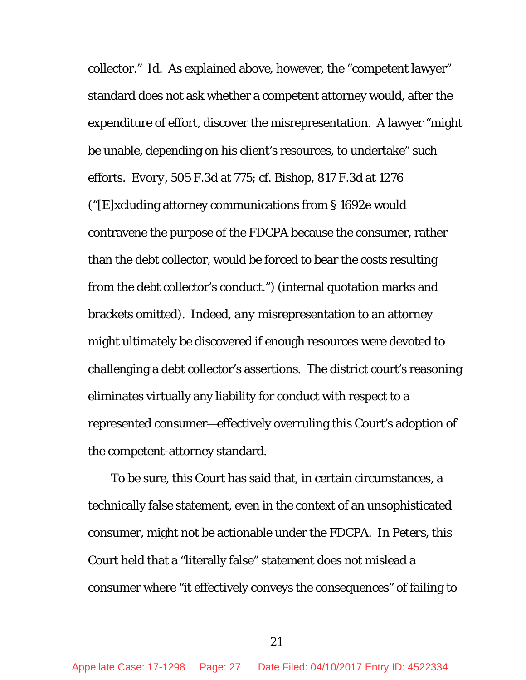collector." *Id.* As explained above, however, the "competent lawyer" standard does not ask whether a competent attorney would, after the expenditure of effort, discover the misrepresentation. A lawyer "might be unable, depending on his client's resources, to undertake" such efforts. *Evory*, 505 F.3d at 775; *cf. Bishop*, 817 F.3d at 1276 ("[E]xcluding attorney communications from § 1692e would contravene the purpose of the FDCPA because the consumer, rather than the debt collector, would be forced to bear the costs resulting from the debt collector's conduct.") (internal quotation marks and brackets omitted). Indeed, *any* misrepresentation to an attorney might ultimately be discovered if enough resources were devoted to challenging a debt collector's assertions. The district court's reasoning eliminates virtually any liability for conduct with respect to a represented consumer—effectively overruling this Court's adoption of the competent-attorney standard.

To be sure, this Court has said that, in certain circumstances, a technically false statement, even in the context of an unsophisticated consumer, might not be actionable under the FDCPA. In *Peters*, this Court held that a "literally false" statement does not mislead a consumer where "it effectively conveys the consequences" of failing to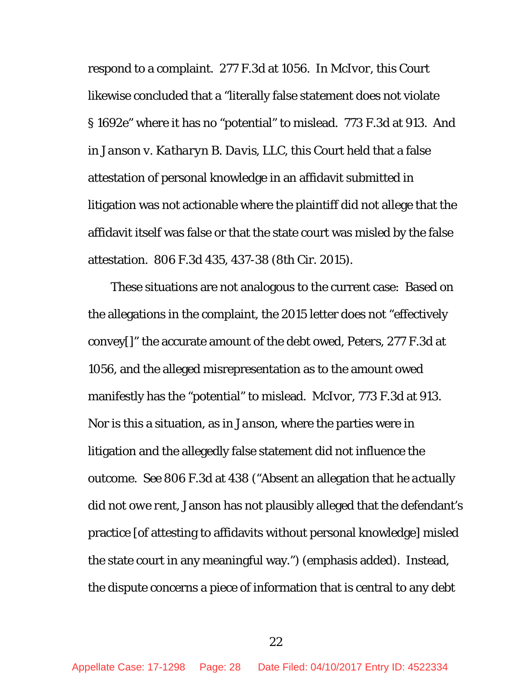respond to a complaint. 277 F.3d at 1056. In *McIvor*, this Court likewise concluded that a "literally false statement does not violate § 1692e" where it has no "potential" to mislead. 773 F.3d at 913. And in *Janson v. Katharyn B. Davis, LLC*, this Court held that a false attestation of personal knowledge in an affidavit submitted in litigation was not actionable where the plaintiff did not allege that the affidavit itself was false or that the state court was misled by the false attestation. 806 F.3d 435, 437-38 (8th Cir. 2015).

These situations are not analogous to the current case: Based on the allegations in the complaint, the 2015 letter does not "effectively convey[]" the accurate amount of the debt owed, *Peters*, 277 F.3d at 1056, and the alleged misrepresentation as to the amount owed manifestly has the "potential" to mislead. *McIvor*, 773 F.3d at 913. Nor is this a situation, as in *Janson*, where the parties were in litigation and the allegedly false statement did not influence the outcome. *See* 806 F.3d at 438 ("Absent an allegation that *he actually did not owe rent*, Janson has not plausibly alleged that the defendant's practice [of attesting to affidavits without personal knowledge] misled the state court in any meaningful way.") (emphasis added). Instead, the dispute concerns a piece of information that is central to any debt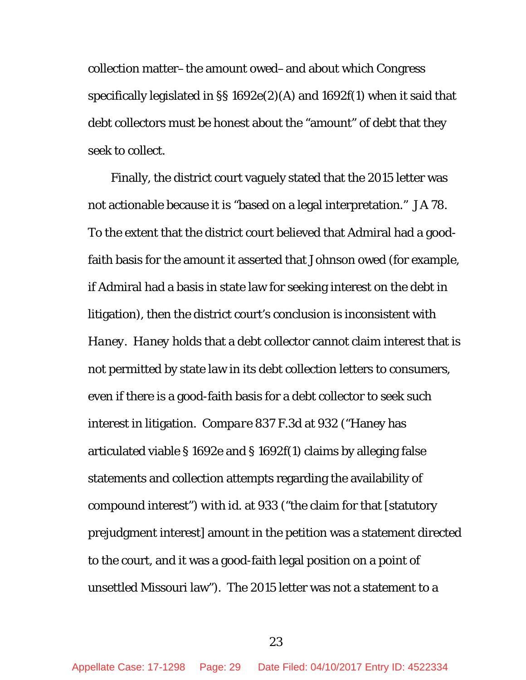collection matter–the amount owed–and about which Congress specifically legislated in §§ 1692e(2)(A) and 1692f(1) when it said that debt collectors must be honest about the "amount" of debt that they seek to collect.

Finally, the district court vaguely stated that the 2015 letter was not actionable because it is "based on a legal interpretation." JA 78. To the extent that the district court believed that Admiral had a goodfaith basis for the amount it asserted that Johnson owed (for example, if Admiral had a basis in state law for seeking interest on the debt in litigation), then the district court's conclusion is inconsistent with *Haney*. *Haney* holds that a debt collector cannot claim interest that is not permitted by state law in its debt collection letters to consumers, even if there is a good-faith basis for a debt collector to seek such interest in litigation. *Compare* 837 F.3d at 932 ("Haney has articulated viable § 1692e and § 1692f(1) claims by alleging false statements and collection attempts regarding the availability of compound interest") *with id.* at 933 ("the claim for that [statutory prejudgment interest] amount in the petition was a statement directed to the court, and it was a good-faith legal position on a point of unsettled Missouri law"). The 2015 letter was not a statement to a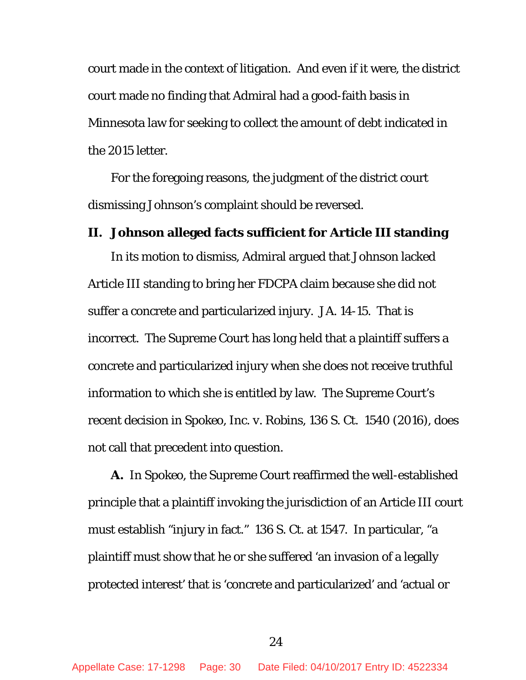court made in the context of litigation. And even if it were, the district court made no finding that Admiral had a good-faith basis in Minnesota law for seeking to collect the amount of debt indicated in the 2015 letter.

For the foregoing reasons, the judgment of the district court dismissing Johnson's complaint should be reversed.

## <span id="page-29-0"></span>**II. Johnson alleged facts sufficient for Article III standing**

In its motion to dismiss, Admiral argued that Johnson lacked Article III standing to bring her FDCPA claim because she did not suffer a concrete and particularized injury. JA. 14-15. That is incorrect. The Supreme Court has long held that a plaintiff suffers a concrete and particularized injury when she does not receive truthful information to which she is entitled by law. The Supreme Court's recent decision in *Spokeo, Inc. v. Robins*, 136 S. Ct. 1540 (2016), does not call that precedent into question.

**A.** In *Spokeo*, the Supreme Court reaffirmed the well-established principle that a plaintiff invoking the jurisdiction of an Article III court must establish "injury in fact." 136 S. Ct. at 1547. In particular, "a plaintiff must show that he or she suffered 'an invasion of a legally protected interest' that is 'concrete and particularized' and 'actual or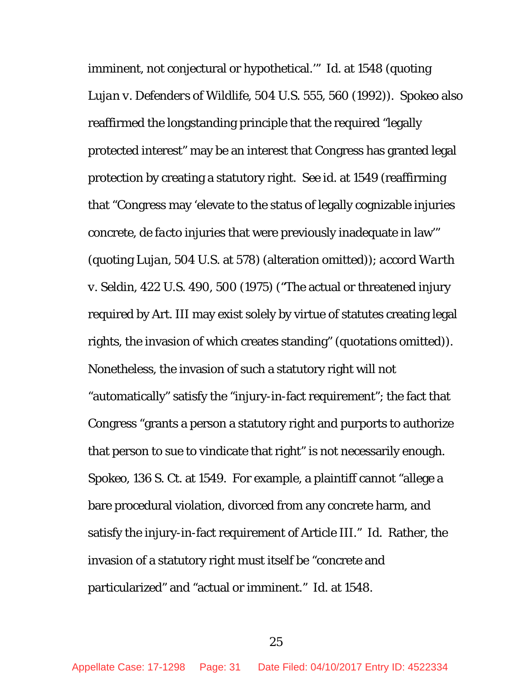imminent, not conjectural or hypothetical.'" *Id.* at 1548 (quoting *Lujan v. Defenders of Wildlife*, 504 U.S. 555, 560 (1992)). *Spokeo* also reaffirmed the longstanding principle that the required "legally protected interest" may be an interest that Congress has granted legal protection by creating a statutory right. *See id.* at 1549 (reaffirming that "Congress may 'elevate to the status of legally cognizable injuries concrete, *de facto* injuries that were previously inadequate in law'" (quoting *Lujan*, 504 U.S. at 578) (alteration omitted)); *accord Warth v. Seldin*, 422 U.S. 490, 500 (1975) ("The actual or threatened injury required by Art. III may exist solely by virtue of statutes creating legal rights, the invasion of which creates standing" (quotations omitted)). Nonetheless, the invasion of such a statutory right will not "automatically" satisfy the "injury-in-fact requirement"; the fact that Congress "grants a person a statutory right and purports to authorize that person to sue to vindicate that right" is not necessarily enough. *Spokeo*, 136 S. Ct. at 1549. For example, a plaintiff cannot "allege a bare procedural violation, divorced from any concrete harm, and satisfy the injury-in-fact requirement of Article III." *Id.* Rather, the invasion of a statutory right must itself be "concrete and particularized" and "actual or imminent." *Id.* at 1548.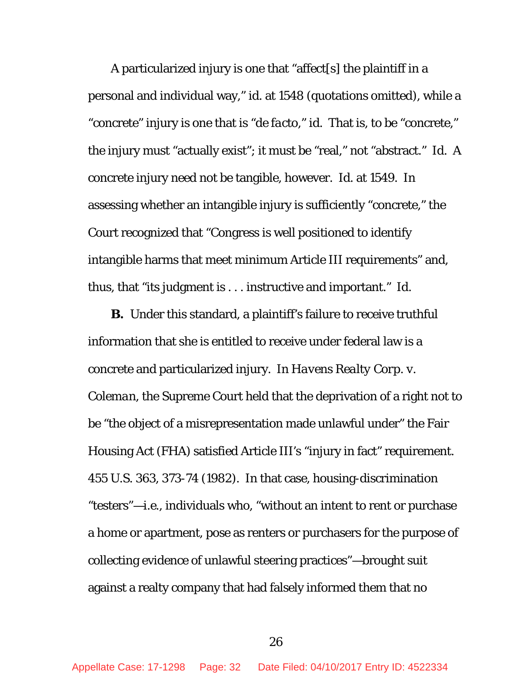A particularized injury is one that "affect[s] the plaintiff in a personal and individual way," *id*. at 1548 (quotations omitted), while a "concrete" injury is one that is "*de facto*," *id.* That is, to be "concrete," the injury must "actually exist"; it must be "real," not "abstract." *Id.* A concrete injury need not be tangible, however. *Id.* at 1549. In assessing whether an intangible injury is sufficiently "concrete," the Court recognized that "Congress is well positioned to identify intangible harms that meet minimum Article III requirements" and, thus, that "its judgment is . . . instructive and important." *Id.* 

**B.** Under this standard, a plaintiff's failure to receive truthful information that she is entitled to receive under federal law is a concrete and particularized injury. In *Havens Realty Corp. v. Coleman*, the Supreme Court held that the deprivation of a right not to be "the object of a misrepresentation made unlawful under" the Fair Housing Act (FHA) satisfied Article III's "injury in fact" requirement. 455 U.S. 363, 373-74 (1982). In that case, housing-discrimination "testers"—*i.e.*, individuals who, "without an intent to rent or purchase a home or apartment, pose as renters or purchasers for the purpose of collecting evidence of unlawful steering practices"—brought suit against a realty company that had falsely informed them that no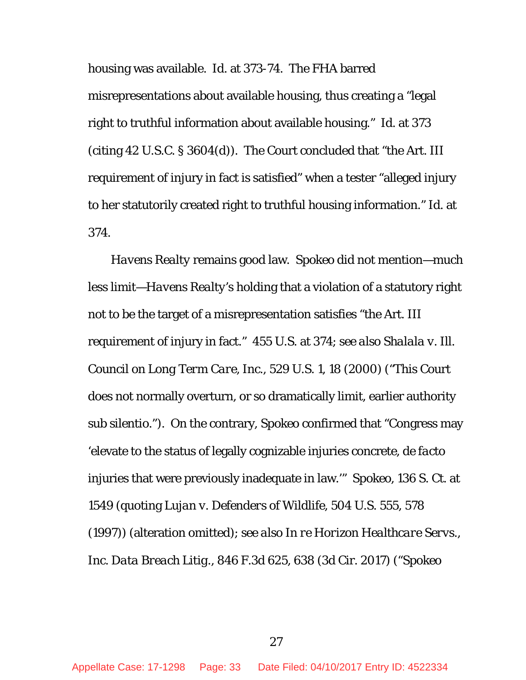housing was available. *Id.* at 373-74. The FHA barred misrepresentations about available housing, thus creating a "legal right to truthful information about available housing." *Id.* at 373 (citing 42 U.S.C. § 3604(d)). The Court concluded that "the Art. III requirement of injury in fact is satisfied" when a tester "alleged injury to her statutorily created right to truthful housing information." *Id.* at 374.

*Havens Realty* remains good law. *Spokeo* did not mention—much less limit—*Havens Realty*'s holding that a violation of a statutory right not to be the target of a misrepresentation satisfies "the Art. III requirement of injury in fact." 455 U.S. at 374; *see also Shalala v. Ill. Council on Long Term Care, Inc.*, 529 U.S. 1, 18 (2000) ("This Court does not normally overturn, or so dramatically limit, earlier authority *sub silentio*."). On the contrary, *Spokeo* confirmed that "Congress may 'elevate to the status of legally cognizable injuries concrete, *de facto*  injuries that were previously inadequate in law.'" *Spokeo*, 136 S. Ct. at 1549 (quoting *Lujan v. Defenders of Wildlife*, 504 U.S. 555, 578 (1997)) (alteration omitted); *see also In re Horizon Healthcare Servs., Inc. Data Breach Litig.*, 846 F.3d 625, 638 (3d Cir. 2017) ("*Spokeo*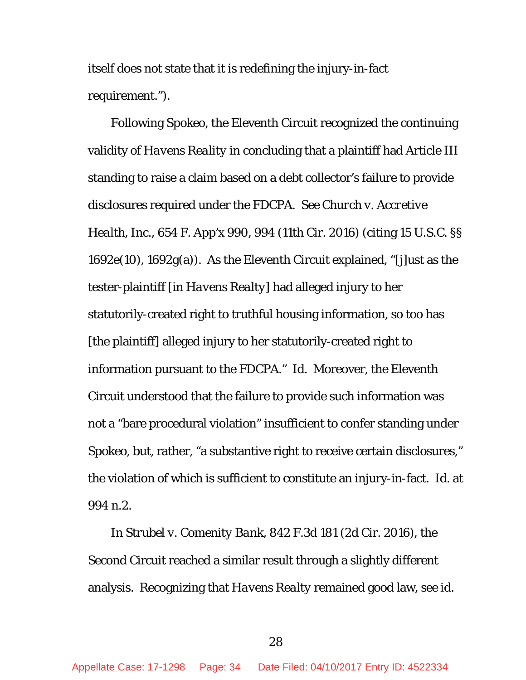itself does not state that it is redefining the injury-in-fact requirement.").

Following *Spokeo*, the Eleventh Circuit recognized the continuing validity of *Havens Reality* in concluding that a plaintiff had Article III standing to raise a claim based on a debt collector's failure to provide disclosures required under the FDCPA. *See Church v. Accretive Health, Inc.*, 654 F. App'x 990, 994 (11th Cir. 2016) (citing 15 U.S.C. §§ 1692e(10), 1692g(a)). As the Eleventh Circuit explained, "[j]ust as the tester-plaintiff [in *Havens Realty*] had alleged injury to her statutorily-created right to truthful housing information, so too has [the plaintiff] alleged injury to her statutorily-created right to information pursuant to the FDCPA." *Id.* Moreover, the Eleventh Circuit understood that the failure to provide such information was not a "bare procedural violation" insufficient to confer standing under *Spokeo*, but, rather, "a substantive right to receive certain disclosures," the violation of which is sufficient to constitute an injury-in-fact. *Id.* at 994 n.2.

In *Strubel v. Comenity Bank*, 842 F.3d 181 (2d Cir. 2016), the Second Circuit reached a similar result through a slightly different analysis. Recognizing that *Havens Realty* remained good law, *see id.*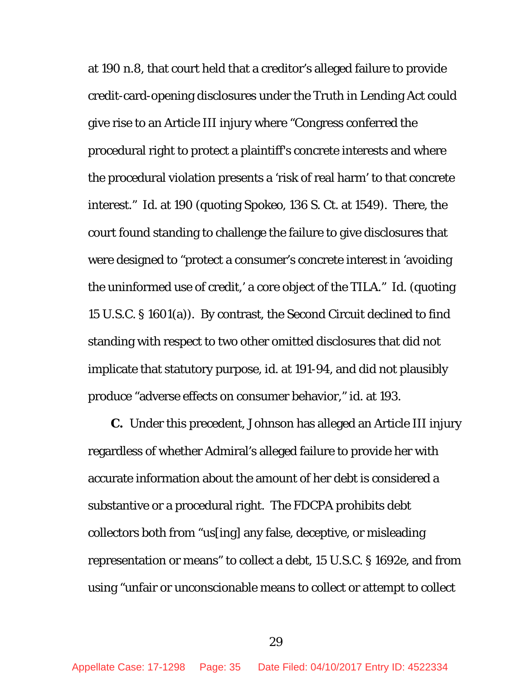at 190 n.8, that court held that a creditor's alleged failure to provide credit-card-opening disclosures under the Truth in Lending Act could give rise to an Article III injury where "Congress conferred the procedural right to protect a plaintiff's concrete interests and where the procedural violation presents a 'risk of real harm' to that concrete interest." *Id.* at 190 (quoting *Spokeo*, 136 S. Ct. at 1549). There, the court found standing to challenge the failure to give disclosures that were designed to "protect a consumer's concrete interest in 'avoiding the uninformed use of credit,' a core object of the TILA." *Id.* (quoting 15 U.S.C. § 1601(a)). By contrast, the Second Circuit declined to find standing with respect to two other omitted disclosures that did not implicate that statutory purpose, *id.* at 191-94, and did not plausibly produce "adverse effects on consumer behavior," *id.* at 193.

**C.** Under this precedent, Johnson has alleged an Article III injury regardless of whether Admiral's alleged failure to provide her with accurate information about the amount of her debt is considered a substantive or a procedural right. The FDCPA prohibits debt collectors both from "us[ing] any false, deceptive, or misleading representation or means" to collect a debt, 15 U.S.C. § 1692e, and from using "unfair or unconscionable means to collect or attempt to collect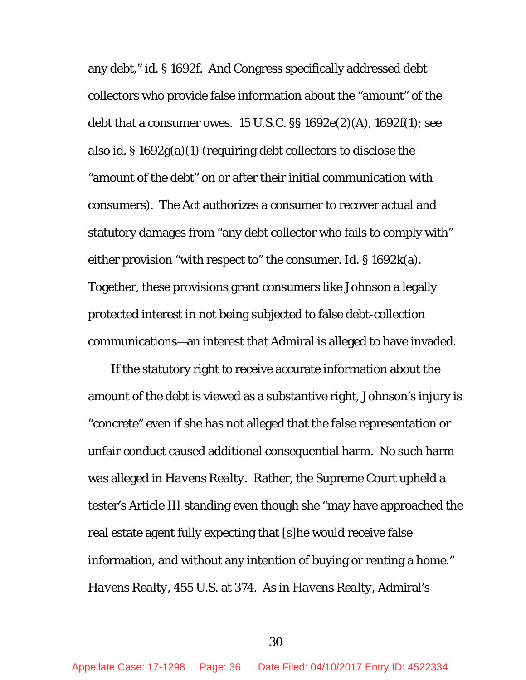any debt," *id.* § 1692f. And Congress specifically addressed debt collectors who provide false information about the "amount" of the debt that a consumer owes. 15 U.S.C. §§ 1692e(2)(A), 1692f(1); *see also id.* § 1692g(a)(1) (requiring debt collectors to disclose the "amount of the debt" on or after their initial communication with consumers). The Act authorizes a consumer to recover actual and statutory damages from "any debt collector who fails to comply with" either provision "with respect to" the consumer. *Id.* § 1692k(a). Together, these provisions grant consumers like Johnson a legally protected interest in not being subjected to false debt-collection communications—an interest that Admiral is alleged to have invaded.

If the statutory right to receive accurate information about the amount of the debt is viewed as a substantive right, Johnson's injury is "concrete" even if she has not alleged that the false representation or unfair conduct caused additional consequential harm. No such harm was alleged in *Havens Realty*. Rather, the Supreme Court upheld a tester's Article III standing even though she "may have approached the real estate agent fully expecting that [s]he would receive false information, and without any intention of buying or renting a home." *Havens Realty*, 455 U.S. at 374. As in *Havens Realty*, Admiral's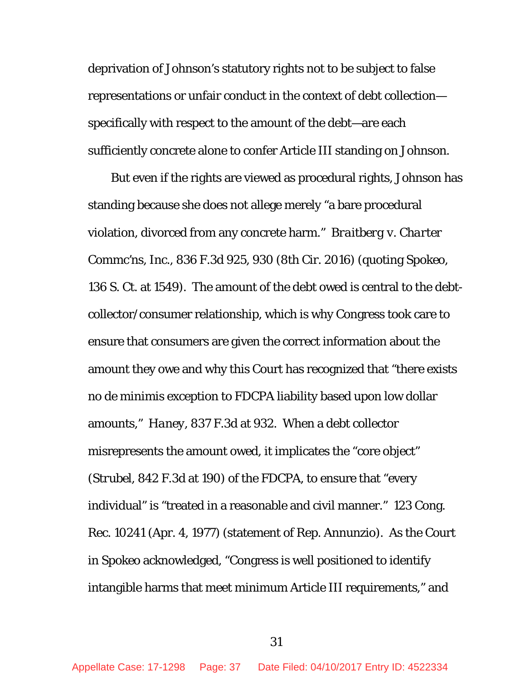deprivation of Johnson's statutory rights not to be subject to false representations or unfair conduct in the context of debt collection specifically with respect to the amount of the debt—are each sufficiently concrete alone to confer Article III standing on Johnson.

But even if the rights are viewed as procedural rights, Johnson has standing because she does not allege merely "a bare procedural violation, divorced from any concrete harm." *Braitberg v. Charter Commc'ns, Inc*., 836 F.3d 925, 930 (8th Cir. 2016) (quoting *Spokeo*, 136 S. Ct. at 1549). The amount of the debt owed is central to the debtcollector/consumer relationship, which is why Congress took care to ensure that consumers are given the correct information about the amount they owe and why this Court has recognized that "there exists no *de minimis* exception to FDCPA liability based upon low dollar amounts," *Haney*, 837 F.3d at 932. When a debt collector misrepresents the amount owed, it implicates the "core object" (*Strubel*, 842 F.3d at 190) of the FDCPA, to ensure that "every individual" is "treated in a reasonable and civil manner." 123 Cong. Rec. 10241 (Apr. 4, 1977) (statement of Rep. Annunzio). As the Court in *Spokeo* acknowledged, "Congress is well positioned to identify intangible harms that meet minimum Article III requirements," and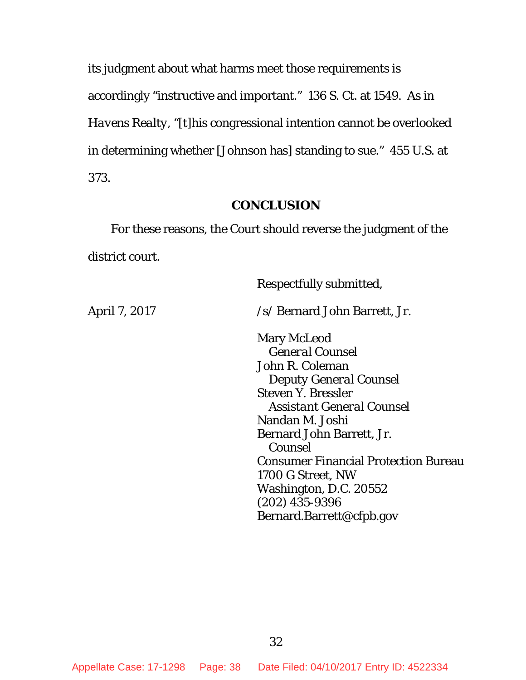its judgment about what harms meet those requirements is accordingly "instructive and important." 136 S. Ct. at 1549. As in *Havens Realty*, "[t]his congressional intention cannot be overlooked in determining whether [Johnson has] standing to sue." 455 U.S. at 373.

## **CONCLUSION**

<span id="page-37-0"></span>For these reasons, the Court should reverse the judgment of the district court.

 Respectfully submitted, April 7, 2017 /s/ Bernard John Barrett, Jr. Mary McLeod *General Counsel* John R. Coleman *Deputy General Counsel* Steven Y. Bressler *Assistant General Counsel* Nandan M. Joshi Bernard John Barrett, Jr. *Counsel* Consumer Financial Protection Bureau 1700 G Street, NW Washington, D.C. 20552 (202) 435-9396 Bernard.Barrett@cfpb.gov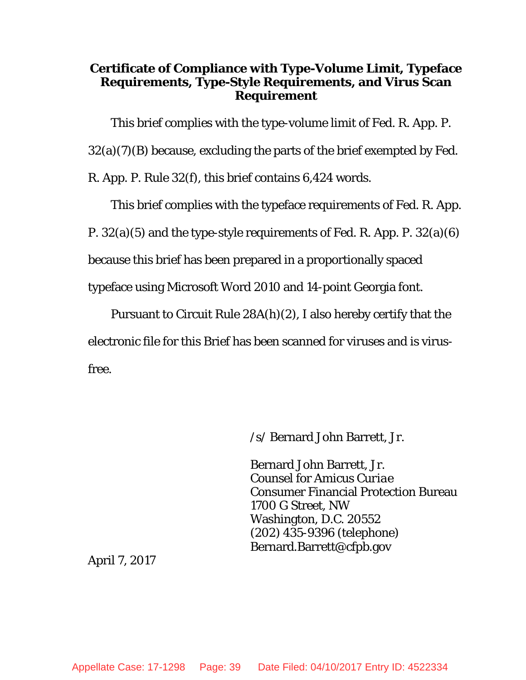## **Certificate of Compliance with Type-Volume Limit, Typeface Requirements, Type-Style Requirements, and Virus Scan Requirement**

This brief complies with the type-volume limit of Fed. R. App. P.

 $32(a)(7)(B)$  because, excluding the parts of the brief exempted by Fed.

R. App. P. Rule 32(f), this brief contains 6,424 words.

This brief complies with the typeface requirements of Fed. R. App.

P. 32(a)(5) and the type-style requirements of Fed. R. App. P. 32(a)(6)

because this brief has been prepared in a proportionally spaced

typeface using Microsoft Word 2010 and 14-point Georgia font.

Pursuant to Circuit Rule 28A(h)(2), I also hereby certify that the electronic file for this Brief has been scanned for viruses and is virusfree.

/s/ Bernard John Barrett, Jr.

Bernard John Barrett, Jr. Counsel for *Amicus Curiae* Consumer Financial Protection Bureau 1700 G Street, NW Washington, D.C. 20552 (202) 435-9396 (telephone) [Bernard.Barrett@cfpb.gov](mailto:Bernard.Barrett@cfpb.gov)

April 7, 2017